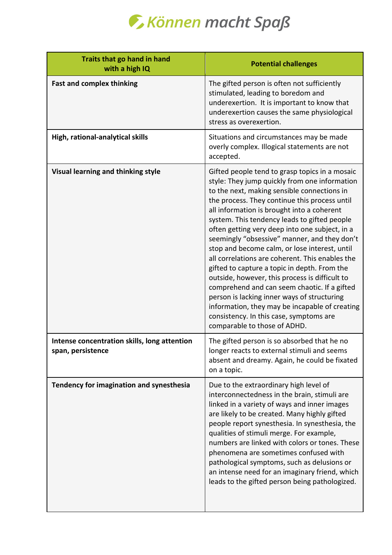

| Traits that go hand in hand<br>with a high IQ                     | <b>Potential challenges</b>                                                                                                                                                                                                                                                                                                                                                                                                                                                                                                                                                                                                                                                                                                                                                                                                       |
|-------------------------------------------------------------------|-----------------------------------------------------------------------------------------------------------------------------------------------------------------------------------------------------------------------------------------------------------------------------------------------------------------------------------------------------------------------------------------------------------------------------------------------------------------------------------------------------------------------------------------------------------------------------------------------------------------------------------------------------------------------------------------------------------------------------------------------------------------------------------------------------------------------------------|
| <b>Fast and complex thinking</b>                                  | The gifted person is often not sufficiently<br>stimulated, leading to boredom and<br>underexertion. It is important to know that<br>underexertion causes the same physiological<br>stress as overexertion.                                                                                                                                                                                                                                                                                                                                                                                                                                                                                                                                                                                                                        |
| High, rational-analytical skills                                  | Situations and circumstances may be made<br>overly complex. Illogical statements are not<br>accepted.                                                                                                                                                                                                                                                                                                                                                                                                                                                                                                                                                                                                                                                                                                                             |
| Visual learning and thinking style                                | Gifted people tend to grasp topics in a mosaic<br>style: They jump quickly from one information<br>to the next, making sensible connections in<br>the process. They continue this process until<br>all information is brought into a coherent<br>system. This tendency leads to gifted people<br>often getting very deep into one subject, in a<br>seemingly "obsessive" manner, and they don't<br>stop and become calm, or lose interest, until<br>all correlations are coherent. This enables the<br>gifted to capture a topic in depth. From the<br>outside, however, this process is difficult to<br>comprehend and can seem chaotic. If a gifted<br>person is lacking inner ways of structuring<br>information, they may be incapable of creating<br>consistency. In this case, symptoms are<br>comparable to those of ADHD. |
| Intense concentration skills, long attention<br>span, persistence | The gifted person is so absorbed that he no<br>longer reacts to external stimuli and seems<br>absent and dreamy. Again, he could be fixated<br>on a topic.                                                                                                                                                                                                                                                                                                                                                                                                                                                                                                                                                                                                                                                                        |
| Tendency for imagination and synesthesia                          | Due to the extraordinary high level of<br>interconnectedness in the brain, stimuli are<br>linked in a variety of ways and inner images<br>are likely to be created. Many highly gifted<br>people report synesthesia. In synesthesia, the<br>qualities of stimuli merge. For example,<br>numbers are linked with colors or tones. These<br>phenomena are sometimes confused with<br>pathological symptoms, such as delusions or<br>an intense need for an imaginary friend, which<br>leads to the gifted person being pathologized.                                                                                                                                                                                                                                                                                                |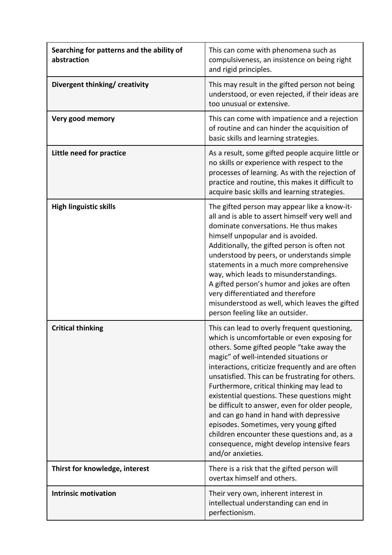| Searching for patterns and the ability of<br>abstraction | This can come with phenomena such as<br>compulsiveness, an insistence on being right<br>and rigid principles.                                                                                                                                                                                                                                                                                                                                                                                                                                                                                                                                      |
|----------------------------------------------------------|----------------------------------------------------------------------------------------------------------------------------------------------------------------------------------------------------------------------------------------------------------------------------------------------------------------------------------------------------------------------------------------------------------------------------------------------------------------------------------------------------------------------------------------------------------------------------------------------------------------------------------------------------|
| Divergent thinking/ creativity                           | This may result in the gifted person not being<br>understood, or even rejected, if their ideas are<br>too unusual or extensive.                                                                                                                                                                                                                                                                                                                                                                                                                                                                                                                    |
| Very good memory                                         | This can come with impatience and a rejection<br>of routine and can hinder the acquisition of<br>basic skills and learning strategies.                                                                                                                                                                                                                                                                                                                                                                                                                                                                                                             |
| Little need for practice                                 | As a result, some gifted people acquire little or<br>no skills or experience with respect to the<br>processes of learning. As with the rejection of<br>practice and routine, this makes it difficult to<br>acquire basic skills and learning strategies.                                                                                                                                                                                                                                                                                                                                                                                           |
| <b>High linguistic skills</b>                            | The gifted person may appear like a know-it-<br>all and is able to assert himself very well and<br>dominate conversations. He thus makes<br>himself unpopular and is avoided.<br>Additionally, the gifted person is often not<br>understood by peers, or understands simple<br>statements in a much more comprehensive<br>way, which leads to misunderstandings.<br>A gifted person's humor and jokes are often<br>very differentiated and therefore<br>misunderstood as well, which leaves the gifted<br>person feeling like an outsider.                                                                                                         |
| <b>Critical thinking</b>                                 | This can lead to overly frequent questioning,<br>which is uncomfortable or even exposing for<br>others. Some gifted people "take away the<br>magic" of well-intended situations or<br>interactions, criticize frequently and are often<br>unsatisfied. This can be frustrating for others.<br>Furthermore, critical thinking may lead to<br>existential questions. These questions might<br>be difficult to answer, even for older people,<br>and can go hand in hand with depressive<br>episodes. Sometimes, very young gifted<br>children encounter these questions and, as a<br>consequence, might develop intensive fears<br>and/or anxieties. |
| Thirst for knowledge, interest                           | There is a risk that the gifted person will<br>overtax himself and others.                                                                                                                                                                                                                                                                                                                                                                                                                                                                                                                                                                         |
| <b>Intrinsic motivation</b>                              | Their very own, inherent interest in<br>intellectual understanding can end in<br>perfectionism.                                                                                                                                                                                                                                                                                                                                                                                                                                                                                                                                                    |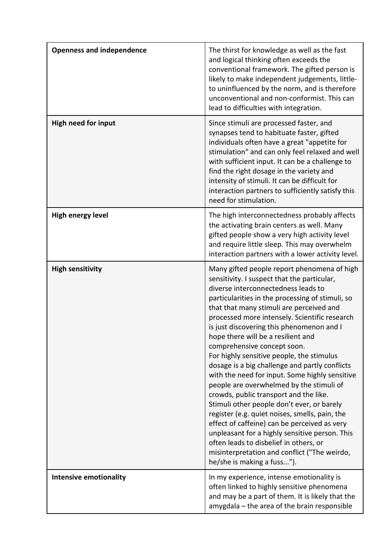| <b>Openness and independence</b> | The thirst for knowledge as well as the fast<br>and logical thinking often exceeds the<br>conventional framework. The gifted person is<br>likely to make independent judgements, little-<br>to uninfluenced by the norm, and is therefore<br>unconventional and non-conformist. This can<br>lead to difficulties with integration.                                                                                                                                                                                                                                                                                                                                                                                                                                                                                                                                                                                                                                    |
|----------------------------------|-----------------------------------------------------------------------------------------------------------------------------------------------------------------------------------------------------------------------------------------------------------------------------------------------------------------------------------------------------------------------------------------------------------------------------------------------------------------------------------------------------------------------------------------------------------------------------------------------------------------------------------------------------------------------------------------------------------------------------------------------------------------------------------------------------------------------------------------------------------------------------------------------------------------------------------------------------------------------|
| <b>High need for input</b>       | Since stimuli are processed faster, and<br>synapses tend to habituate faster, gifted<br>individuals often have a great "appetite for<br>stimulation" and can only feel relaxed and well<br>with sufficient input. It can be a challenge to<br>find the right dosage in the variety and<br>intensity of stimuli. It can be difficult for<br>interaction partners to sufficiently satisfy this<br>need for stimulation.                                                                                                                                                                                                                                                                                                                                                                                                                                                                                                                                                 |
| High energy level                | The high interconnectedness probably affects<br>the activating brain centers as well. Many<br>gifted people show a very high activity level<br>and require little sleep. This may overwhelm<br>interaction partners with a lower activity level.                                                                                                                                                                                                                                                                                                                                                                                                                                                                                                                                                                                                                                                                                                                      |
| <b>High sensitivity</b>          | Many gifted people report phenomena of high<br>sensitivity. I suspect that the particular,<br>diverse interconnectedness leads to<br>particularities in the processing of stimuli, so<br>that that many stimuli are perceived and<br>processed more intensely. Scientific research<br>is just discovering this phenomenon and I<br>hope there will be a resilient and<br>comprehensive concept soon.<br>For highly sensitive people, the stimulus<br>dosage is a big challenge and partly conflicts<br>with the need for input. Some highly sensitive<br>people are overwhelmed by the stimuli of<br>crowds, public transport and the like.<br>Stimuli other people don't ever, or barely<br>register (e.g. quiet noises, smells, pain, the<br>effect of caffeine) can be perceived as very<br>unpleasant for a highly sensitive person. This<br>often leads to disbelief in others, or<br>misinterpretation and conflict ("The weirdo,<br>he/she is making a fuss"). |
| <b>Intensive emotionality</b>    | In my experience, intense emotionality is<br>often linked to highly sensitive phenomena<br>and may be a part of them. It is likely that the<br>amygdala - the area of the brain responsible                                                                                                                                                                                                                                                                                                                                                                                                                                                                                                                                                                                                                                                                                                                                                                           |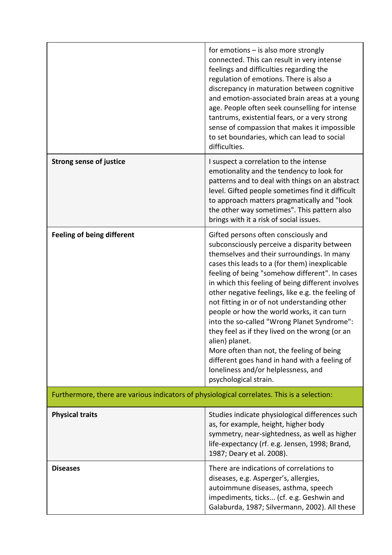|                                                                                             | for emotions $-$ is also more strongly<br>connected. This can result in very intense<br>feelings and difficulties regarding the<br>regulation of emotions. There is also a<br>discrepancy in maturation between cognitive<br>and emotion-associated brain areas at a young<br>age. People often seek counselling for intense<br>tantrums, existential fears, or a very strong<br>sense of compassion that makes it impossible<br>to set boundaries, which can lead to social<br>difficulties.                                                                                                                                                                                                                                 |  |
|---------------------------------------------------------------------------------------------|-------------------------------------------------------------------------------------------------------------------------------------------------------------------------------------------------------------------------------------------------------------------------------------------------------------------------------------------------------------------------------------------------------------------------------------------------------------------------------------------------------------------------------------------------------------------------------------------------------------------------------------------------------------------------------------------------------------------------------|--|
| <b>Strong sense of justice</b>                                                              | I suspect a correlation to the intense<br>emotionality and the tendency to look for<br>patterns and to deal with things on an abstract<br>level. Gifted people sometimes find it difficult<br>to approach matters pragmatically and "look<br>the other way sometimes". This pattern also<br>brings with it a risk of social issues.                                                                                                                                                                                                                                                                                                                                                                                           |  |
| <b>Feeling of being different</b>                                                           | Gifted persons often consciously and<br>subconsciously perceive a disparity between<br>themselves and their surroundings. In many<br>cases this leads to a (for them) inexplicable<br>feeling of being "somehow different". In cases<br>in which this feeling of being different involves<br>other negative feelings, like e.g. the feeling of<br>not fitting in or of not understanding other<br>people or how the world works, it can turn<br>into the so-called "Wrong Planet Syndrome":<br>they feel as if they lived on the wrong (or an<br>alien) planet.<br>More often than not, the feeling of being<br>different goes hand in hand with a feeling of<br>loneliness and/or helplessness, and<br>psychological strain. |  |
| Furthermore, there are various indicators of physiological correlates. This is a selection: |                                                                                                                                                                                                                                                                                                                                                                                                                                                                                                                                                                                                                                                                                                                               |  |
| <b>Physical traits</b>                                                                      | Studies indicate physiological differences such<br>as, for example, height, higher body<br>symmetry, near-sightedness, as well as higher<br>life-expectancy (rf. e.g. Jensen, 1998; Brand,<br>1987; Deary et al. 2008).                                                                                                                                                                                                                                                                                                                                                                                                                                                                                                       |  |
| <b>Diseases</b>                                                                             | There are indications of correlations to<br>diseases, e.g. Asperger's, allergies,<br>autoimmune diseases, asthma, speech<br>impediments, ticks (cf. e.g. Geshwin and<br>Galaburda, 1987; Silvermann, 2002). All these                                                                                                                                                                                                                                                                                                                                                                                                                                                                                                         |  |